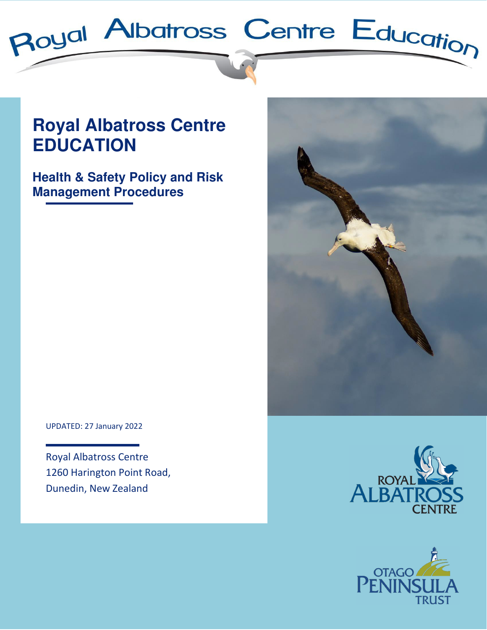

# **Royal Albatross Centre EDUCATION**

**Health & Safety Policy and Risk Management Procedures**



UPDATED: 27 January 2022

Royal Albatross Centre 1260 Harington Point Road, Dunedin, New Zealand



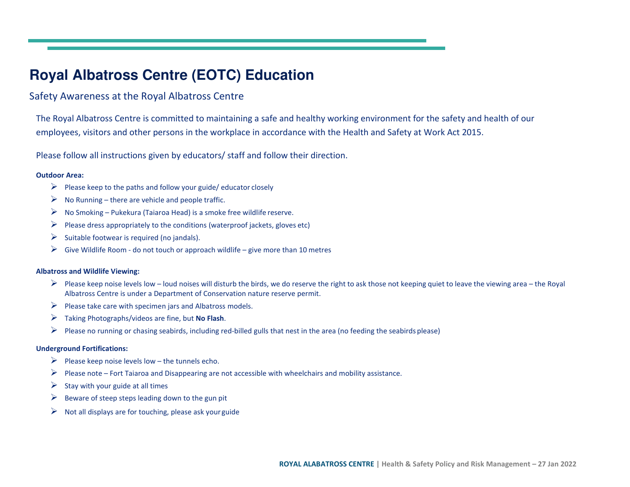## **Royal Albatross Centre (EOTC) Education**

## Safety Awareness at the Royal Albatross Centre

The Royal Albatross Centre is committed to maintaining a safe and healthy working environment for the safety and health of our employees, visitors and other persons in the workplace in accordance with the Health and Safety at Work Act 2015.

Please follow all instructions given by educators/ staff and follow their direction.

#### **Outdoor Area:**

- Please keep to the paths and follow your guide/ educator closely
- $\triangleright$  No Running there are vehicle and people traffic.
- $\triangleright$  No Smoking Pukekura (Taiaroa Head) is a smoke free wildlife reserve.
- ➤ Please dress appropriately to the conditions (waterproof jackets, gloves etc)
- $\triangleright$  Suitable footwear is required (no jandals).
- $\triangleright$  Give Wildlife Room do not touch or approach wildlife give more than 10 metres

#### **Albatross and Wildlife Viewing:**

- Please keep noise levels low loud noises will disturb the birds, we do reserve the right to ask those not keeping quiet to leave the viewing area the Royal<br>Albatross Centre is under a Department of Conservation nature Albatross Centre is under a Department of Conservation nature reserve permit.
- $\triangleright$  Please take care with specimen jars and Albatross models.
- Taking Photographs/videos are fine, but **No Flash**.
- $\blacktriangleright$ Please no running or chasing seabirds, including red-billed gulls that nest in the area (no feeding the seabirds please)

#### **Underground Fortifications:**

- Please keep noise levels low the tunnels echo.
- Please note Fort Taiaroa and Disappearing are not accessible with wheelchairs and mobility assistance.
- $\blacktriangleright$ Stay with your guide at all times
- ➤ Beware of steep steps leading down to the gun pit
- ➤ Not all displays are for touching, please ask your guide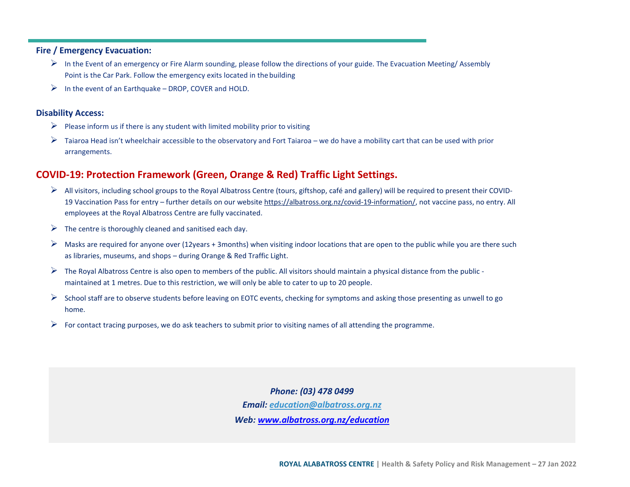#### **Fire / Emergency Evacuation:**

- In the Event of an emergency or Fire Alarm sounding, please follow the directions of your guide. The Evacuation Meeting/ Assembly Point is the Car Park. Follow the emergency exits located in the building
- $\triangleright$  In the event of an Earthquake DROP, COVER and HOLD.

#### **Disability Access:**

- $\triangleright$  Please inform us if there is any student with limited mobility prior to visiting
- ➤ Taiaroa Head isn't wheelchair accessible to the observatory and Fort Taiaroa – we do have a mobility cart that can be used with prior arrangements.

### **COVID-19: Protection Framework (Green, Orange & Red) Traffic Light Settings.**

- All visitors, including school groups to the Royal Albatross Centre (tours, giftshop, café and gallery) will be required to present their COVID-<br>All Visitors, including school groups to the Royal Albatross Centre (follocti 19 Vaccination Pass for entry – further details on our website https://albatross.org.nz/covid-19-information/, not vaccine pass, no entry. All employees at the Royal Albatross Centre are fully vaccinated.
- $\triangleright$  The centre is thoroughly cleaned and sanitised each day.
- ➤ Masks are required for anyone over (12years + 3months) when visiting indoor locations that are open to the public while you are there such as libraries, museums, and shops – during Orange & Red Traffic Light.
- ➤ The Royal Albatross Centre is also open to members of the public. All visitors should maintain a physical distance from the public maintained at 1 metres. Due to this restriction, we will only be able to cater to up to 20 people.
- $\blacktriangleright$  School staff are to observe students before leaving on EOTC events, checking for symptoms and asking those presenting as unwell to go home.
- ➤ For contact tracing purposes, we do ask teachers to submit prior to visiting names of all attending the programme.

*Phone: (03) 478 0499Email: education@albatross.org.nz* 

*Web: www.albatross.org.nz/education*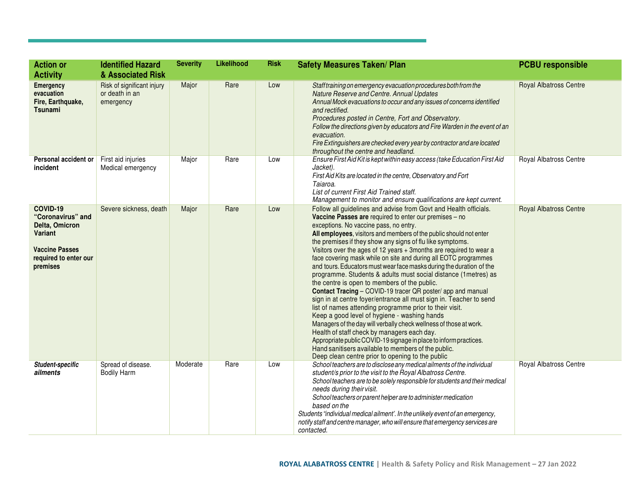| <b>Action or</b><br><b>Activity</b>                                                                                             | <b>Identified Hazard</b><br>& Associated Risk             | <b>Severity</b> | Likelihood | <b>Risk</b> | <b>Safety Measures Taken/ Plan</b>                                                                                                                                                                                                                                                                                                                                                                                                                                                                                                                                                                                                                                                                                                                                                                                                                                                                                                                                                                                                                                                                                                                                                               | <b>PCBU responsible</b>       |
|---------------------------------------------------------------------------------------------------------------------------------|-----------------------------------------------------------|-----------------|------------|-------------|--------------------------------------------------------------------------------------------------------------------------------------------------------------------------------------------------------------------------------------------------------------------------------------------------------------------------------------------------------------------------------------------------------------------------------------------------------------------------------------------------------------------------------------------------------------------------------------------------------------------------------------------------------------------------------------------------------------------------------------------------------------------------------------------------------------------------------------------------------------------------------------------------------------------------------------------------------------------------------------------------------------------------------------------------------------------------------------------------------------------------------------------------------------------------------------------------|-------------------------------|
| <b>Emergency</b><br>evacuation<br>Fire, Earthquake,<br>Tsunami                                                                  | Risk of significant injury<br>or death in an<br>emergency | Major           | Rare       | Low         | Staff training on emergency evacuation procedures both from the<br>Nature Reserve and Centre. Annual Updates<br>Annual Mock evacuations to occur and any issues of concerns identified<br>and rectified.<br>Procedures posted in Centre, Fort and Observatory.<br>Follow the directions given by educators and Fire Warden in the event of an<br>evacuation.<br>Fire Extinguishers are checked every year by contractor and are located<br>throughout the centre and headland.                                                                                                                                                                                                                                                                                                                                                                                                                                                                                                                                                                                                                                                                                                                   | <b>Royal Albatross Centre</b> |
| Personal accident or<br>incident                                                                                                | First aid injuries<br>Medical emergency                   | Major           | Rare       | Low         | Ensure First Aid Kit is kept within easy access (take Education First Aid<br>Jacket).<br>First Aid Kits are located in the centre, Observatory and Fort<br>Taiaroa.<br>List of current First Aid Trained staff.<br>Management to monitor and ensure qualifications are kept current.                                                                                                                                                                                                                                                                                                                                                                                                                                                                                                                                                                                                                                                                                                                                                                                                                                                                                                             | Royal Albatross Centre        |
| COVID-19<br>"Coronavirus" and<br>Delta, Omicron<br><b>Variant</b><br><b>Vaccine Passes</b><br>required to enter our<br>premises | Severe sickness, death                                    | Major           | Rare       | Low         | Follow all guidelines and advise from Govt and Health officials.<br>Vaccine Passes are required to enter our premises - no<br>exceptions. No vaccine pass, no entry.<br>All employees, visitors and members of the public should not enter<br>the premises if they show any signs of flu like symptoms.<br>Visitors over the ages of 12 years + 3months are required to wear a<br>face covering mask while on site and during all EOTC programmes<br>and tours. Educators must wear face masks during the duration of the<br>programme. Students & adults must social distance (1metres) as<br>the centre is open to members of the public.<br>Contact Tracing - COVID-19 tracer QR poster/ app and manual<br>sign in at centre foyer/entrance all must sign in. Teacher to send<br>list of names attending programme prior to their visit.<br>Keep a good level of hygiene - washing hands<br>Managers of the day will verbally check wellness of those at work.<br>Health of staff check by managers each day.<br>Appropriate public COVID-19 signage in place to inform practices.<br>Hand sanitisers available to members of the public.<br>Deep clean centre prior to opening to the public | <b>Royal Albatross Centre</b> |
| <b>Student-specific</b><br>ailments                                                                                             | Spread of disease.<br><b>Bodily Harm</b>                  | Moderate        | Rare       | Low         | School teachers are to disclose any medical ailments of the individual<br>student/s prior to the visit to the Royal Albatross Centre.<br>School teachers are to be solely responsible for students and their medical<br>needs during their visit.<br>School teachers or parent helper are to administer medication<br>based on the<br>Students "individual medical ailment'. In the unlikely event of an emergency,<br>notify staff and centre manager, who will ensure that emergency services are<br>contacted.                                                                                                                                                                                                                                                                                                                                                                                                                                                                                                                                                                                                                                                                                | Royal Albatross Centre        |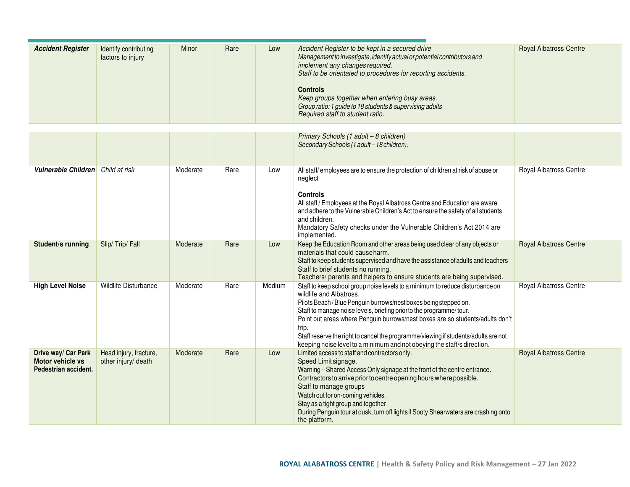| <b>Accident Register</b> | Identify contributing<br>factors to injury | Minor | Rare | Low | Accident Register to be kept in a secured drive<br>Management to investigate, identify actual or potential contributors and<br>implement any changes required.<br>Staff to be orientated to procedures for reporting accidents. | <b>Royal Albatross Centre</b> |
|--------------------------|--------------------------------------------|-------|------|-----|---------------------------------------------------------------------------------------------------------------------------------------------------------------------------------------------------------------------------------|-------------------------------|
|                          |                                            |       |      |     | <b>Controls</b><br>Keep groups together when entering busy areas.<br>Group ratio: 1 guide to 18 students & supervising adults<br>Required staff to student ratio.                                                               |                               |

|                                                                 |                                               |          |      |        | Primary Schools (1 adult - 8 children)<br>Secondary Schools (1 adult - 18 children).                                                                                                                                                                                                                                                                                                                                                                                                                           |                               |
|-----------------------------------------------------------------|-----------------------------------------------|----------|------|--------|----------------------------------------------------------------------------------------------------------------------------------------------------------------------------------------------------------------------------------------------------------------------------------------------------------------------------------------------------------------------------------------------------------------------------------------------------------------------------------------------------------------|-------------------------------|
| Vulnerable Children                                             | Child at risk                                 | Moderate | Rare | Low    | All staff/employees are to ensure the protection of children at risk of abuse or<br>neglect<br><b>Controls</b><br>All staff / Employees at the Royal Albatross Centre and Education are aware<br>and adhere to the Vulnerable Children's Act to ensure the safety of all students<br>and children.<br>Mandatory Safety checks under the Vulnerable Children's Act 2014 are<br>implemented.                                                                                                                     | Royal Albatross Centre        |
| Student/s running                                               | Slip/Trip/Fall                                | Moderate | Rare | Low    | Keep the Education Room and other areas being used clear of any objects or<br>materials that could cause harm.<br>Staff to keep students supervised and have the assistance of adults and teachers<br>Staff to brief students no running.<br>Teachers/ parents and helpers to ensure students are being supervised.                                                                                                                                                                                            | <b>Royal Albatross Centre</b> |
| <b>High Level Noise</b>                                         | <b>Wildlife Disturbance</b>                   | Moderate | Rare | Medium | Staff to keep school group noise levels to a minimum to reduce disturbance on<br>wildlife and Albatross.<br>Pilots Beach / Blue Penguin burrows/nest boxes being stepped on.<br>Staff to manage noise levels, briefing prior to the programme/tour.<br>Point out areas where Penguin burrows/nest boxes are so students/adults don't<br>trip.<br>Staff reserve the right to cancel the programme/viewing if students/adults are not<br>keeping noise level to a minimum and not obeying the staff/s direction. | Royal Albatross Centre        |
| Drive way/ Car Park<br>Motor vehicle vs<br>Pedestrian accident. | Head injury, fracture,<br>other injury/ death | Moderate | Rare | Low    | Limited access to staff and contractors only.<br>Speed Limit signage.<br>Warning - Shared Access Only signage at the front of the centre entrance.<br>Contractors to arrive prior to centre opening hours where possible.<br>Staff to manage groups<br>Watch out for on-coming vehicles.<br>Stay as a tight group and together<br>During Penguin tour at dusk, turn off lightsif Sooty Shearwaters are crashing onto<br>the platform.                                                                          | <b>Royal Albatross Centre</b> |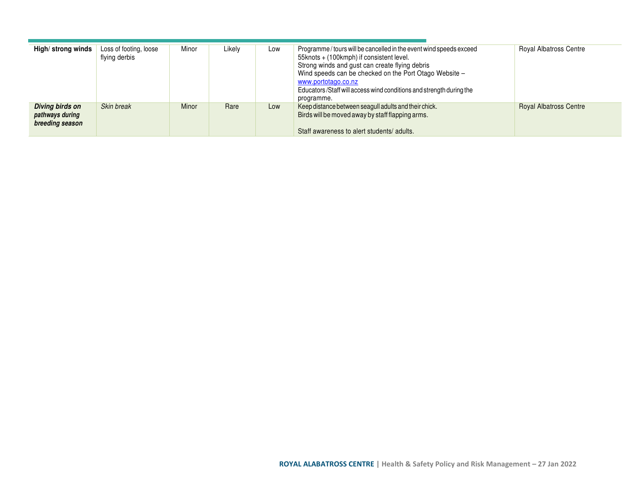| High/strong winds                                            | Loss of footing, loose<br>flying derbis | Minor | Likely | Low | Programme / tours will be cancelled in the event wind speeds exceed<br>55knots + (100kmph) if consistent level.<br>Strong winds and gust can create flying debris<br>Wind speeds can be checked on the Port Otago Website -<br>www.portotago.co.nz<br>Educators/Staff will access wind conditions and strength during the<br>programme. | <b>Royal Albatross Centre</b> |
|--------------------------------------------------------------|-----------------------------------------|-------|--------|-----|-----------------------------------------------------------------------------------------------------------------------------------------------------------------------------------------------------------------------------------------------------------------------------------------------------------------------------------------|-------------------------------|
| <b>Diving birds on</b><br>pathways during<br>breeding season | Skin break                              | Minor | Rare   | Low | Keep distance between seagull adults and their chick.<br>Birds will be moved away by staff flapping arms.<br>Staff awareness to alert students/ adults.                                                                                                                                                                                 | <b>Royal Albatross Centre</b> |